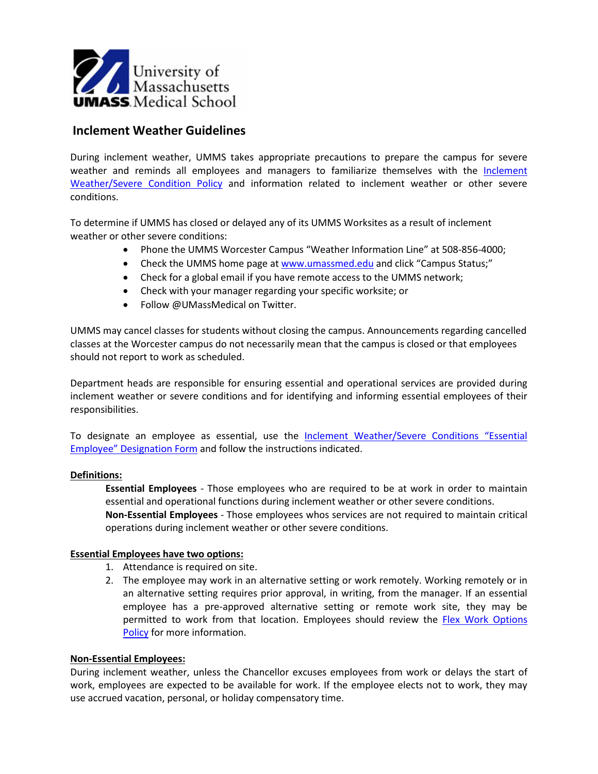

# **Inclement Weather Guidelines**

During inclement weather, UMMS takes appropriate precautions to prepare the campus for severe weather and reminds all employees and managers to familiarize themselves with the [Inclement](https://inside.umassmed.edu/Policies/Policies-listing-page/hr/General-Administration/Inclement--Weather-Severe-Conditions/)  Weather/Severe [Condition Policy](https://inside.umassmed.edu/Policies/Policies-listing-page/hr/General-Administration/Inclement--Weather-Severe-Conditions/) and information related to inclement weather or other severe conditions.

To determine if UMMS has closed or delayed any of its UMMS Worksites as a result of inclement weather or other severe conditions:

- Phone the UMMS Worcester Campus "Weather Information Line" at 508-856-4000;
- Check the UMMS home page at [www.umassmed.edu](http://www.umassmed.edu/) and click "Campus Status;"
- Check for a global email if you have remote access to the UMMS network;
- Check with your manager regarding your specific worksite; or
- Follow @UMassMedical on Twitter.

UMMS may cancel classes for students without closing the campus. Announcements regarding cancelled classes at the Worcester campus do not necessarily mean that the campus is closed or that employees should not report to work as scheduled.

Department heads are responsible for ensuring essential and operational services are provided during inclement weather or severe conditions and for identifying and informing essential employees of their responsibilities.

To designate an employee as essential, use the [Inclement Weather/Severe](https://www.umassmed.edu/globalassets/human-resources/documents/inclement-weather-severe-conditions-essential-employee-designation-form-rev-10.18.19.pdf) Conditions "Essential [Employee" Designation Form](https://www.umassmed.edu/globalassets/human-resources/documents/inclement-weather-severe-conditions-essential-employee-designation-form-rev-10.18.19.pdf) and follow the instructions indicated.

### **Definitions:**

**Essential Employees** - Those employees who are required to be at work in order to maintain essential and operational functions during inclement weather or other severe conditions. **Non-Essential Employees** - Those employees whos services are not required to maintain critical operations during inclement weather or other severe conditions.

### **Essential Employees have two options:**

- 1. Attendance is required on site.
- 2. The employee may work in an alternative setting or work remotely. Working remotely or in an alternative setting requires prior approval, in writing, from the manager. If an essential employee has a pre-approved alternative setting or remote work site, they may be permitted to work from that location. Employees should review the Flex Work Options [Policy](https://inside.umassmed.edu/Policies/Policies-listing-page/hr/Employment/Flexible-Work-Options/) for more information.

### **Non-Essential Employees:**

During inclement weather, unless the Chancellor excuses employees from work or delays the start of work, employees are expected to be available for work. If the employee elects not to work, they may use accrued vacation, personal, or holiday compensatory time.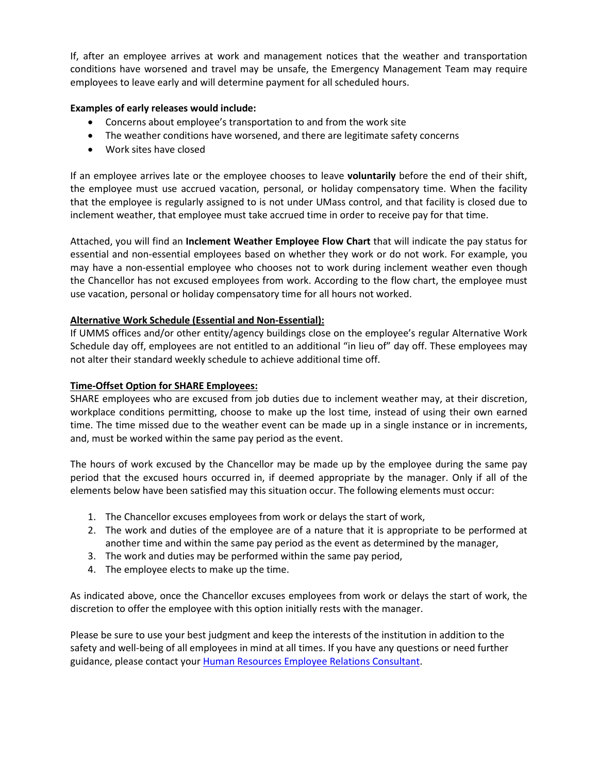If, after an employee arrives at work and management notices that the weather and transportation conditions have worsened and travel may be unsafe, the Emergency Management Team may require employees to leave early and will determine payment for all scheduled hours.

## **Examples of early releases would include:**

- Concerns about employee's transportation to and from the work site
- The weather conditions have worsened, and there are legitimate safety concerns
- Work sites have closed

If an employee arrives late or the employee chooses to leave **voluntarily** before the end of their shift, the employee must use accrued vacation, personal, or holiday compensatory time. When the facility that the employee is regularly assigned to is not under UMass control, and that facility is closed due to inclement weather, that employee must take accrued time in order to receive pay for that time.

Attached, you will find an **Inclement Weather Employee Flow Chart** that will indicate the pay status for essential and non-essential employees based on whether they work or do not work. For example, you may have a non-essential employee who chooses not to work during inclement weather even though the Chancellor has not excused employees from work. According to the flow chart, the employee must use vacation, personal or holiday compensatory time for all hours not worked.

### **Alternative Work Schedule (Essential and Non-Essential):**

If UMMS offices and/or other entity/agency buildings close on the employee's regular Alternative Work Schedule day off, employees are not entitled to an additional "in lieu of" day off. These employees may not alter their standard weekly schedule to achieve additional time off.

### **Time-Offset Option for SHARE Employees:**

SHARE employees who are excused from job duties due to inclement weather may, at their discretion, workplace conditions permitting, choose to make up the lost time, instead of using their own earned time. The time missed due to the weather event can be made up in a single instance or in increments, and, must be worked within the same pay period as the event.

The hours of work excused by the Chancellor may be made up by the employee during the same pay period that the excused hours occurred in, if deemed appropriate by the manager. Only if all of the elements below have been satisfied may this situation occur. The following elements must occur:

- 1. The Chancellor excuses employees from work or delays the start of work,
- 2. The work and duties of the employee are of a nature that it is appropriate to be performed at another time and within the same pay period as the event as determined by the manager,
- 3. The work and duties may be performed within the same pay period,
- 4. The employee elects to make up the time.

As indicated above, once the Chancellor excuses employees from work or delays the start of work, the discretion to offer the employee with this option initially rests with the manager.

Please be sure to use your best judgment and keep the interests of the institution in addition to the safety and well-being of all employees in mind at all times. If you have any questions or need further guidance, please contact your [Human Resources Employee Relations Consultant.](https://www.umassmed.edu/hr/employee-r/employee-relations-team/)